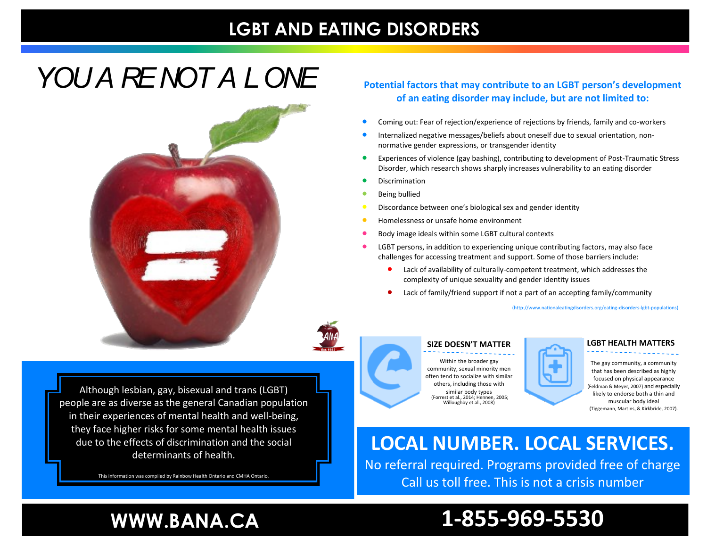### **LGBT AND EATING DISORDERS**

## *YOU A RE NOT A LONE*



**Potential factors that may contribute to an LGBT person's development of an eating disorder may include, but are not limited to:**

- Coming out: Fear of rejection/experience of rejections by friends, family and co-workers
- Internalized negative messages/beliefs about oneself due to sexual orientation, nonnormative gender expressions, or transgender identity
- Experiences of violence (gay bashing), contributing to development of Post-Traumatic Stress Disorder, which research shows sharply increases vulnerability to an eating disorder
- Discrimination
- **Being bullied**
- Discordance between one's biological sex and gender identity
- Homelessness or unsafe home environment
- Body image ideals within some LGBT cultural contexts
- LGBT persons, in addition to experiencing unique contributing factors, may also face challenges for accessing treatment and support. Some of those barriers include:
	- Lack of availability of culturally-competent treatment, which addresses the complexity of unique sexuality and gender identity issues
	- Lack of family/friend support if not a part of an accepting family/community

(http://www.nationaleatingdisorders.org/eating-disorders-lgbt-populations)



Although lesbian, gay, bisexual and trans (LGBT) people are as diverse as the general Canadian population in their experiences of mental health and well-being, they face higher risks for some mental health issues due to the effects of discrimination and the social determinants of health.

This information was compiled by Rainbow Health Ontario and CMHA Ontario.

#### **SIZE DOESN'T MATTER**

Within the broader gay community, sexual minority men often tend to socialize with similar others, including those with similar body types (Forrest et al., 2014; Hennen, 2005; Willoughby et al., 2008)



**LGBT HEALTH MATTERS**

The gay community, a community that has been described as highly focused on physical appearance (Feldman & Meyer, 2007) and especially likely to endorse both a thin and muscular body ideal (Tiggemann, Martins, & Kirkbride, 2007).

### **LOCAL NUMBER. LOCAL SERVICES.**

No referral required. Programs provided free of charge Call us toll free. This is not a crisis number

### **WWW.BANA.CA**

### **1-855-969-5530**